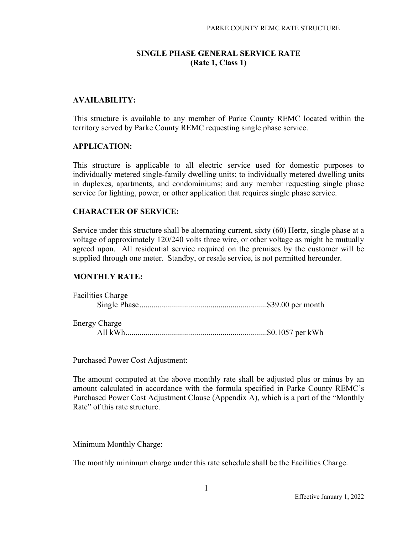# **SINGLE PHASE GENERAL SERVICE RATE (Rate 1, Class 1)**

# **AVAILABILITY:**

This structure is available to any member of Parke County REMC located within the territory served by Parke County REMC requesting single phase service.

#### **APPLICATION:**

This structure is applicable to all electric service used for domestic purposes to individually metered single-family dwelling units; to individually metered dwelling units in duplexes, apartments, and condominiums; and any member requesting single phase service for lighting, power, or other application that requires single phase service.

### **CHARACTER OF SERVICE:**

Service under this structure shall be alternating current, sixty (60) Hertz, single phase at a voltage of approximately 120/240 volts three wire, or other voltage as might be mutually agreed upon. All residential service required on the premises by the customer will be supplied through one meter. Standby, or resale service, is not permitted hereunder.

### **MONTHLY RATE:**

| <b>Facilities Charge</b> |  |
|--------------------------|--|
| <b>Energy Charge</b>     |  |
|                          |  |

Purchased Power Cost Adjustment:

The amount computed at the above monthly rate shall be adjusted plus or minus by an amount calculated in accordance with the formula specified in Parke County REMC's Purchased Power Cost Adjustment Clause (Appendix A), which is a part of the "Monthly Rate" of this rate structure.

Minimum Monthly Charge:

The monthly minimum charge under this rate schedule shall be the Facilities Charge.